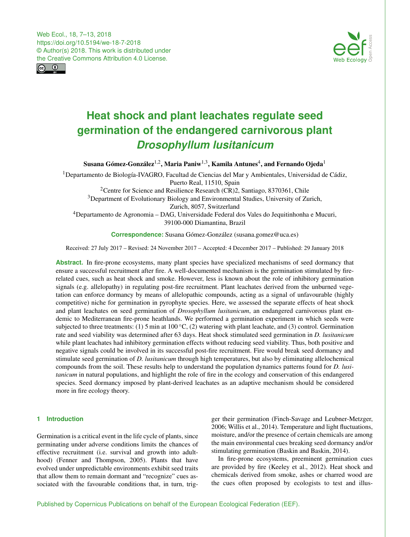<span id="page-0-1"></span>Web Ecol., 18, 7–13, 2018 https://doi.org/10.5194/we-18-7-2018 © Author(s) 2018. This work is distributed under the Creative Commons Attribution 4.0 License.





# **Heat shock and plant leachates regulate seed germination of the endangered carnivorous plant** *Drosophyllum lusitanicum*

Susana Gómez-González $^{1,2}$  $^{1,2}$  $^{1,2}$ , Maria Paniw $^{1,3}$  $^{1,3}$  $^{1,3}$ , Kamila Antunes $^4$  $^4$ , and Fernando Ojeda $^1$  $^1$ 

 $1$ Departamento de Biología-IVAGRO, Facultad de Ciencias del Mar y Ambientales, Universidad de Cádiz, Puerto Real, 11510, Spain

<sup>2</sup>Centre for Science and Resilience Research (CR)2, Santiago, 8370361, Chile <sup>3</sup>Department of Evolutionary Biology and Environmental Studies, University of Zurich, Zurich, 8057, Switzerland <sup>4</sup>Departamento de Agronomia – DAG, Universidade Federal dos Vales do Jequitinhonha e Mucuri,

39100-000 Diamantina, Brazil

**Correspondence:** Susana Gómez-González (susana.gomez@uca.es)

Received: 27 July 2017 – Revised: 24 November 2017 – Accepted: 4 December 2017 – Published: 29 January 2018

Abstract. In fire-prone ecosystems, many plant species have specialized mechanisms of seed dormancy that ensure a successful recruitment after fire. A well-documented mechanism is the germination stimulated by firerelated cues, such as heat shock and smoke. However, less is known about the role of inhibitory germination signals (e.g. allelopathy) in regulating post-fire recruitment. Plant leachates derived from the unburned vegetation can enforce dormancy by means of allelopathic compounds, acting as a signal of unfavourable (highly competitive) niche for germination in pyrophyte species. Here, we assessed the separate effects of heat shock and plant leachates on seed germination of *Drosophyllum lusitanicum*, an endangered carnivorous plant endemic to Mediterranean fire-prone heathlands. We performed a germination experiment in which seeds were subjected to three treatments: (1) 5 min at 100  $^{\circ}$ C, (2) watering with plant leachate, and (3) control. Germination rate and seed viability was determined after 63 days. Heat shock stimulated seed germination in *D. lusitanicum* while plant leachates had inhibitory germination effects without reducing seed viability. Thus, both positive and negative signals could be involved in its successful post-fire recruitment. Fire would break seed dormancy and stimulate seed germination of *D. lusitanicum* through high temperatures, but also by eliminating allelochemical compounds from the soil. These results help to understand the population dynamics patterns found for *D. lusitanicum* in natural populations, and highlight the role of fire in the ecology and conservation of this endangered species. Seed dormancy imposed by plant-derived leachates as an adaptive mechanism should be considered more in fire ecology theory.

# <span id="page-0-0"></span>**1 Introduction**

Germination is a critical event in the life cycle of plants, since germinating under adverse conditions limits the chances of effective recruitment (i.e. survival and growth into adulthood) (Fenner and Thompson, 2005). Plants that have evolved under unpredictable environments exhibit seed traits that allow them to remain dormant and "recognize" cues associated with the favourable conditions that, in turn, trigger their germination (Finch-Savage and Leubner-Metzger, 2006; Willis et al., 2014). Temperature and light fluctuations, moisture, and/or the presence of certain chemicals are among the main environmental cues breaking seed dormancy and/or stimulating germination (Baskin and Baskin, 2014).

In fire-prone ecosystems, preeminent germination cues are provided by fire (Keeley et al., 2012). Heat shock and chemicals derived from smoke, ashes or charred wood are the cues often proposed by ecologists to test and illus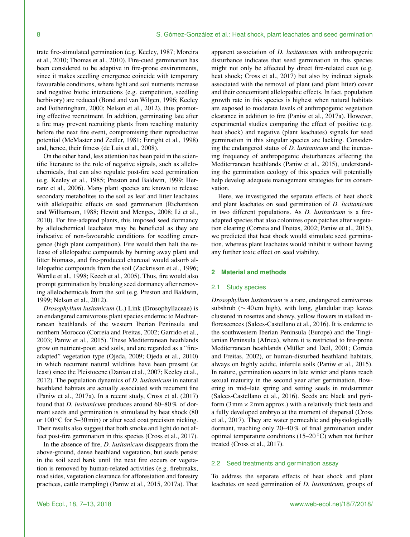trate fire-stimulated germination (e.g. Keeley, 1987; Moreira et al., 2010; Thomas et al., 2010). Fire-cued germination has been considered to be adaptive in fire-prone environments, since it makes seedling emergence coincide with temporary favourable conditions, where light and soil nutrients increase and negative biotic interactions (e.g. competition, seedling herbivory) are reduced (Bond and van Wilgen, 1996; Keeley and Fotheringham, 2000; Nelson et al., 2012), thus promoting effective recruitment. In addition, germinating late after a fire may prevent recruiting plants from reaching maturity before the next fire event, compromising their reproductive potential (McMaster and Zedler, 1981; Enright et al., 1998) and, hence, their fitness (de Luis et al., 2008).

On the other hand, less attention has been paid in the scientific literature to the role of negative signals, such as allelochemicals, that can also regulate post-fire seed germination (e.g. Keeley et al., 1985; Preston and Baldwin, 1999; Herranz et al., 2006). Many plant species are known to release secondary metabolites to the soil as leaf and litter leachates with allelopathic effects on seed germination (Richardson and Williamson, 1988; Hewitt and Menges, 2008; Li et al., 2010). For fire-adapted plants, this imposed seed dormancy by allelochemical leachates may be beneficial as they are indicative of non-favourable conditions for seedling emergence (high plant competition). Fire would then halt the release of allelopathic compounds by burning away plant and litter biomass, and fire-produced charcoal would adsorb allelopathic compounds from the soil (Zackrisson et al., 1996; Wardle et al., 1998; Keech et al., 2005). Thus, fire would also prompt germination by breaking seed dormancy after removing allelochemicals from the soil (e.g. Preston and Baldwin, 1999; Nelson et al., 2012).

*Drosophyllum lusitanicum* (L.) Link (Drosophyllaceae) is an endangered carnivorous plant species endemic to Mediterranean heathlands of the western Iberian Peninsula and northern Morocco (Correia and Freitas, 2002; Garrido et al., 2003; Paniw et al., 2015). These Mediterranean heathlands grow on nutrient-poor, acid soils, and are regarded as a "fireadapted" vegetation type (Ojeda, 2009; Ojeda et al., 2010) in which recurrent natural wildfires have been present (at least) since the Pleistocene (Daniau et al., 2007; Keeley et al., 2012). The population dynamics of *D. lusitanicum* in natural heathland habitats are actually associated with recurrent fire (Paniw et al., 2017a). In a recent study, Cross et al. (2017) found that *D. lusitanicum* produces around 60–80 % of dormant seeds and germination is stimulated by heat shock (80 or 100 ◦C for 5–30 min) or after seed coat precision nicking. Their results also suggest that both smoke and light do not affect post-fire germination in this species (Cross et al., 2017).

In the absence of fire, *D. lusitanicum* disappears from the above-ground, dense heathland vegetation, but seeds persist in the soil seed bank until the next fire occurs or vegetation is removed by human-related activities (e.g. firebreaks, road sides, vegetation clearance for afforestation and forestry practices, cattle trampling) (Paniw et al., 2015, 2017a). That apparent association of *D. lusitanicum* with anthropogenic disturbance indicates that seed germination in this species might not only be affected by direct fire-related cues (e.g. heat shock; Cross et al., 2017) but also by indirect signals associated with the removal of plant (and plant litter) cover and their concomitant allelopathic effects. In fact, population growth rate in this species is highest when natural habitats are exposed to moderate levels of anthropogenic vegetation clearance in addition to fire (Paniw et al., 2017a). However, experimental studies comparing the effect of positive (e.g. heat shock) and negative (plant leachates) signals for seed germination in this singular species are lacking. Considering the endangered status of *D. lusitanicum* and the increasing frequency of anthropogenic disturbances affecting the Mediterranean heathlands (Paniw et al., 2015), understanding the germination ecology of this species will potentially help develop adequate management strategies for its conservation.

Here, we investigated the separate effects of heat shock and plant leachates on seed germination of *D. lusitanicum* in two different populations. As *D. lusitanicum* is a fireadapted species that also colonizes open patches after vegetation clearing (Correia and Freitas, 2002; Paniw et al., 2015), we predicted that heat shock would stimulate seed germination, whereas plant leachates would inhibit it without having any further toxic effect on seed viability.

## **2 Material and methods**

#### 2.1 Study species

*Drosophyllum lusitanicum* is a rare, endangered carnivorous subshrub (∼ 40 cm high), with long, glandular trap leaves clustered in rosettes and showy, yellow flowers in stalked inflorescences (Salces-Castellano et al., 2016). It is endemic to the southwestern Iberian Peninsula (Europe) and the Tingitanian Peninsula (Africa), where it is restricted to fire-prone Mediterranean heathlands (Müller and Deil, 2001; Correia and Freitas, 2002), or human-disturbed heathland habitats, always on highly acidic, infertile soils (Paniw et al., 2015). In nature, germination occurs in late winter and plants reach sexual maturity in the second year after germination, flowering in mid–late spring and setting seeds in midsummer (Salces-Castellano et al., 2016). Seeds are black and pyriform  $(3 \text{ mm} \times 2 \text{ mm}$  approx.) with a relatively thick testa and a fully developed embryo at the moment of dispersal (Cross et al., 2017). They are water permeable and physiologically dormant, reaching only 20–40 % of final germination under optimal temperature conditions (15–20 $\degree$ C) when not further treated (Cross et al., 2017).

# 2.2 Seed treatments and germination assay

To address the separate effects of heat shock and plant leachates on seed germination of *D. lusitanicum*, groups of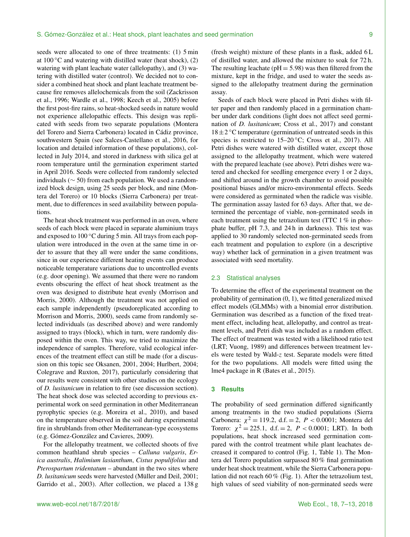seeds were allocated to one of three treatments: (1) 5 min at  $100\,^{\circ}\text{C}$  and watering with distilled water (heat shock), (2) watering with plant leachate water (allelopathy), and (3) watering with distilled water (control). We decided not to consider a combined heat shock and plant leachate treatment because fire removes allelochemicals from the soil (Zackrisson et al., 1996; Wardle et al., 1998; Keech et al., 2005) before the first post-fire rains, so heat-shocked seeds in nature would not experience allelopathic effects. This design was replicated with seeds from two separate populations (Montera del Torero and Sierra Carbonera) located in Cádiz province, southwestern Spain (see Salces-Castellano et al., 2016, for location and detailed information of these populations), collected in July 2014, and stored in darkness with silica gel at room temperature until the germination experiment started in April 2016. Seeds were collected from randomly selected individuals ( $\sim$  50) from each population. We used a randomized block design, using 25 seeds per block, and nine (Montera del Torero) or 10 blocks (Sierra Carbonera) per treatment, due to differences in seed availability between populations.

The heat shock treatment was performed in an oven, where seeds of each block were placed in separate aluminium trays and exposed to 100 °C during 5 min. All trays from each population were introduced in the oven at the same time in order to assure that they all were under the same conditions, since in our experience different heating events can produce noticeable temperature variations due to uncontrolled events (e.g. door opening). We assumed that there were no random events obscuring the effect of heat shock treatment as the oven was designed to distribute heat evenly (Morrison and Morris, 2000). Although the treatment was not applied on each sample independently (pseudoreplicated according to Morrison and Morris, 2000), seeds came from randomly selected individuals (as described above) and were randomly assigned to trays (block), which in turn, were randomly disposed within the oven. This way, we tried to maximize the independence of samples. Therefore, valid ecological inferences of the treatment effect can still be made (for a discussion on this topic see Oksanen, 2001, 2004; Hurlbert, 2004; Colegrave and Ruxton, 2017), particularly considering that our results were consistent with other studies on the ecology of *D. lusitanicum* in relation to fire (see discussion section). The heat shock dose was selected according to previous experimental work on seed germination in other Mediterranean pyrophytic species (e.g. Moreira et al., 2010), and based on the temperature observed in the soil during experimental fire in shrublands from other Mediterranean-type ecosystems (e.g. Gómez-González and Cavieres, 2009).

For the allelopathy treatment, we collected shoots of five common heathland shrub species – *Calluna vulgaris*, *Erica australis*, *Halimium lasianthum*, *Cistus populifolius* and *Pterospartum tridentatum* – abundant in the two sites where *D. lusitanicum* seeds were harvested (Müller and Deil, 2001; Garrido et al., 2003). After collection, we placed a 138 g (fresh weight) mixture of these plants in a flask, added 6 L of distilled water, and allowed the mixture to soak for 72 h. The resulting leachate ( $pH = 5.98$ ) was then filtered from the mixture, kept in the fridge, and used to water the seeds assigned to the allelopathy treatment during the germination assay.

Seeds of each block were placed in Petri dishes with filter paper and then randomly placed in a germination chamber under dark conditions (light does not affect seed germination of *D. lusitanicum*; Cross et al., 2017) and constant  $18 \pm 2$  °C temperature (germination of untreated seeds in this species is restricted to  $15-20\degree C$ ; Cross et al., 2017). All Petri dishes were watered with distilled water, except those assigned to the allelopathy treatment, which were watered with the prepared leachate (see above). Petri dishes were watered and checked for seedling emergence every 1 or 2 days, and shifted around in the growth chamber to avoid possible positional biases and/or micro-environmental effects. Seeds were considered as germinated when the radicle was visible. The germination assay lasted for 63 days. After that, we determined the percentage of viable, non-germinated seeds in each treatment using the tetrazolium test (TTC 1 % in phosphate buffer, pH 7.3, and 24 h in darkness). This test was applied to 30 randomly selected non-germinated seeds from each treatment and population to explore (in a descriptive way) whether lack of germination in a given treatment was associated with seed mortality.

#### 2.3 Statistical analyses

To determine the effect of the experimental treatment on the probability of germination (0, 1), we fitted generalized mixed effect models (GLMMs) with a binomial error distribution. Germination was described as a function of the fixed treatment effect, including heat, allelopathy, and control as treatment levels, and Petri dish was included as a random effect. The effect of treatment was tested with a likelihood ratio test (LRT; Vuong, 1989) and differences between treatment levels were tested by Wald-z test. Separate models were fitted for the two populations. All models were fitted using the lme4 package in R (Bates et al., 2015).

#### **3 Results**

The probability of seed germination differed significantly among treatments in the two studied populations (Sierra Carbonera:  $\chi^2 = 119.2$ , d.f. = 2, P < 0.0001; Montera del Torero:  $\chi^2 = 225.1$ , d.f. = 2,  $P < 0.0001$ ; LRT). In both populations, heat shock increased seed germination compared with the control treatment while plant leachates decreased it compared to control (Fig. 1, Table 1). The Montera del Torero population surpassed 80 % final germination under heat shock treatment, while the Sierra Carbonera population did not reach 60 % (Fig. 1). After the tetrazolium test, high values of seed viability of non-germinated seeds were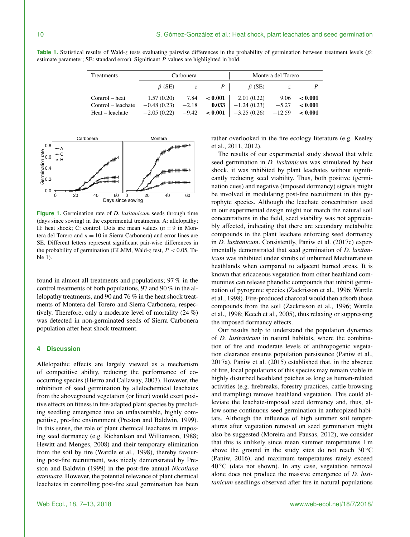| Treatments         | Carbonera             |             |         | Montera del Torero            |                    |              |
|--------------------|-----------------------|-------------|---------|-------------------------------|--------------------|--------------|
|                    | $\beta$ (SE)          | $Z_{\rm c}$ |         | $\beta$ (SE)                  |                    |              |
| Control – heat     | 1.57(0.20)            | 7.84        | < 0.001 | 2.01(0.22)                    | 9.06               | $\leq 0.001$ |
| Control – leachate | $-0.48(0.23)$         | $-2.18$     | 0.033   | $-1.24(0.23)$                 | $-5.27$            | $\leq 0.001$ |
| Heat – leachate    | $-2.05(0.22)$ $-9.42$ |             |         | $\leq 0.001$   $-3.25$ (0.26) | $-12.59 \le 0.001$ |              |

**Table 1.** Statistical results of Wald-z tests evaluating pairwise differences in the probability of germination between treatment levels (β: estimate parameter; SE: standard error). Significant P values are highlighted in bold.



**Figure 1.** Germination rate of *D. lusitanicum* seeds through time (days since sowing) in the experimental treatments. A: allelopathy; H: heat shock; C: control. Dots are mean values  $(n = 9$  in Montera del Torero and  $n = 10$  in Sierra Carbonera) and error lines are SE. Different letters represent significant pair-wise differences in the probability of germination (GLMM, Wald-z test,  $P < 0.05$ , Table 1).

found in almost all treatments and populations; 97 % in the control treatments of both populations, 97 and 90 % in the allelopathy treatments, and 90 and 76 % in the heat shock treatments of Montera del Torero and Sierra Carbonera, respectively. Therefore, only a moderate level of mortality (24 %) was detected in non-germinated seeds of Sierra Carbonera population after heat shock treatment.

## **4 Discussion**

Allelopathic effects are largely viewed as a mechanism of competitive ability, reducing the performance of cooccurring species (Hierro and Callaway, 2003). However, the inhibition of seed germination by allelochemical leachates from the aboveground vegetation (or litter) would exert positive effects on fitness in fire-adapted plant species by precluding seedling emergence into an unfavourable, highly competitive, pre-fire environment (Preston and Baldwin, 1999). In this sense, the role of plant chemical leachates in imposing seed dormancy (e.g. Richardson and Williamson, 1988; Hewitt and Menges, 2008) and their temporary elimination from the soil by fire (Wardle et al., 1998), thereby favouring post-fire recruitment, was nicely demonstrated by Preston and Baldwin (1999) in the post-fire annual *Nicotiana attenuata*. However, the potential relevance of plant chemical leachates in controlling post-fire seed germination has been rather overlooked in the fire ecology literature (e.g. Keeley et al., 2011, 2012).

The results of our experimental study showed that while seed germination in *D. lusitanicum* was stimulated by heat shock, it was inhibited by plant leachates without significantly reducing seed viability. Thus, both positive (germination cues) and negative (imposed dormancy) signals might be involved in modulating post-fire recruitment in this pyrophyte species. Although the leachate concentration used in our experimental design might not match the natural soil concentrations in the field, seed viability was not appreciably affected, indicating that there are secondary metabolite compounds in the plant leachate enforcing seed dormancy in *D. lusitanicum*. Consistently, Paniw et al. (2017c) experimentally demonstrated that seed germination of *D. lusitanicum* was inhibited under shrubs of unburned Mediterranean heathlands when compared to adjacent burned areas. It is known that ericaceous vegetation from other heathland communities can release phenolic compounds that inhibit germination of pyrogenic species (Zackrisson et al., 1996; Wardle et al., 1998). Fire-produced charcoal would then adsorb those compounds from the soil (Zackrisson et al., 1996; Wardle et al., 1998; Keech et al., 2005), thus relaxing or suppressing the imposed dormancy effects.

Our results help to understand the population dynamics of *D. lusitanicum* in natural habitats, where the combination of fire and moderate levels of anthropogenic vegetation clearance ensures population persistence (Paniw et al., 2017a). Paniw et al. (2015) established that, in the absence of fire, local populations of this species may remain viable in highly disturbed heathland patches as long as human-related activities (e.g. firebreaks, forestry practices, cattle browsing and trampling) remove heathland vegetation. This could alleviate the leachate-imposed seed dormancy and, thus, allow some continuous seed germination in anthropized habitats. Although the influence of high summer soil temperatures after vegetation removal on seed germination might also be suggested (Moreira and Pausas, 2012), we consider that this is unlikely since mean summer temperatures 1 m above the ground in the study sites do not reach  $30^{\circ}$ C (Paniw, 2016), and maximum temperatures rarely exceed  $40^{\circ}$ C (data not shown). In any case, vegetation removal alone does not produce the massive emergence of *D. lusitanicum* seedlings observed after fire in natural populations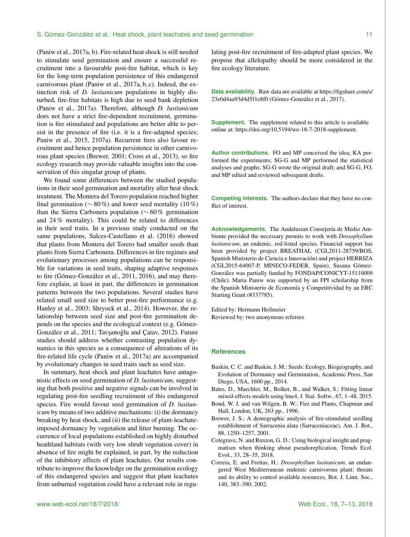#### S. Gómez-González et al.: Heat shock, plant leachates and seed germination 11

(Paniw et al., 2017a, b). Fire-related heat shock is still needed to stimulate seed germination and ensure a successful recruitment into a favourable post-fire habitat, which is key for the long-term population persistence of this endangered carnivorous plant (Paniw et al., 2017a, b, c). Indeed, the extinction risk of *D. lusitanicum* populations in highly disturbed, fire-free habitats is high due to seed bank depletion (Paniw et al., 2017a). Therefore, although *D. lusitanicum* does not have a strict fire-dependent recruitment, germination is fire stimulated and populations are better able to persist in the presence of fire (i.e. it is a fire-adapted species; Paniw et al., 2015, 2107a). Recurrent fires also favour recruitment and hence population persistence in other carnivorous plant species (Brewer, 2001; Cross et al., 2013), so fire ecology research may provide valuable insights into the conservation of this singular group of plants.

We found some differences between the studied populations in their seed germination and mortality after heat shock treatment. The Montera del Torero population reached higher final germination ( $\sim 80\%$ ) and lower seed mortality (10%) than the Sierra Carbonera population (∼ 60 % germination and 24 % mortality). This could be related to differences in their seed traits. In a previous study conducted on the same populations, Salces-Castellano et al. (2016) showed that plants from Montera del Torero had smaller seeds than plants from Sierra Carbonera. Differences in fire regimes and evolutionary processes among populations can be responsible for variations in seed traits, shaping adaptive responses to fire (Gómez-González et al., 2011, 2016), and may therefore explain, at least in part, the differences in germination patterns between the two populations. Several studies have related small seed size to better post-fire performance (e.g. Hanley et al., 2003; Shryock et al., 2014). However, the relationship between seed size and post-fire germination depends on the species and the ecological context (e.g. Gómez-González et al., 2011; Tavşanoğlu and Çatav, 2012). Future studies should address whether contrasting population dynamics in this species as a consequence of alterations of its fire-related life cycle (Paniw et al., 2017a) are accompanied by evolutionary changes in seed traits such as seed size.

In summary, heat shock and plant leachates have antagonistic effects on seed germination of *D. lusitanicum,* suggesting that both positive and negative signals can be involved in regulating post-fire seedling recruitment of this endangered species. Fire would favour seed germination of *D. lusitanicum* by means of two additive mechanisms: (i) the dormancy breaking by heat shock, and (ii) the release of plant-leachateimposed dormancy by vegetation and litter burning. The occurrence of local populations established on highly disturbed heathland habitats (with very low shrub vegetation cover) in absence of fire might be explained, in part, by the reduction of the inhibitory effects of plant leachates. Our results contribute to improve the knowledge on the germination ecology of this endangered species and suggest that plant leachates from unburned vegetation could have a relevant role in regulating post-fire recruitment of fire-adapted plant species. We propose that allelopathy should be more considered in the fire ecology literature.

**Data availability.** Raw data are available at [https://figshare.com/s/](https://figshare.com/s/23e0d4aa93d4d5f1e8f0) [23e0d4aa93d4d5f1e8f0](https://figshare.com/s/23e0d4aa93d4d5f1e8f0) (Gómez-González et al., 2017).

**Supplement.** The supplement related to this article is available online at: [https://doi.org/10.5194/we-18-7-2018-supplement.](https://doi.org/10.5194/we-18-7-2018-supplement)

**Author contributions.** FO and MP conceived the idea; KA performed the experiments; SG-G and MP performed the statistical analyses and graphs; SG-G wrote the original draft; and SG-G, FO, and MP edited and reviewed subsequent drafts.

**Competing interests.** The authors declare that they have no conflict of interest.

**Acknowledgements.** The Andalusian Consejería de Medio Ambiente provided the necessary permits to work with *Drosophyllum lusitanicum*, an endemic, red-listed species. Financial support has been provided by project BREATHAL (CGL2011-28759/BOS, Spanish Ministerio de Ciencia e Innovación) and project HERRIZA (CGL2015-64007-P, MINECO-FEDER, Spain). Susana Gómez-González was partially funded by FONDAP/CONICYT-15110009 (Chile). Maria Paniw was supported by an FPI scholarship from the Spanish Ministerio de Economía y Competitividad by an ERC Starting Grant (#337785).

Edited by: Hermann Heilmeier Reviewed by: two anonymous referees

#### **References**

- Baskin, C. C. and Baskin, J. M.: Seeds: Ecology, Biogeography, and Evolution of Dormancy and Germination, Academic Press, San Diego, USA, 1600 pp., 2014.
- Bates, D., Maechler, M., Bolker, B., and Walker, S.: Fitting linear mixed-effects models using lme4, J. Stat. Softw., 67, 1–48, 2015.
- Bond, W. J. and van Wilgen, B. W.: Fire and Plants, Chapman and Hall, London, UK, 263 pp., 1996.
- Brewer, J. S.: A demographic analysis of fire-stimulated seedling establishment of Sarracenia alata (Sarraceniaceae), Am. J. Bot., 88, 1250–1257, 2001.
- Colegrave, N. and Ruxton, G. D.: Using biological insight and pragmatism when thinking about pseudoreplication, Trends Ecol. Evol., 33, 28–35, 2018.
- Correia, E. and Freitas, H.: *Drosophyllum lusitanicum*, an endangered West Mediterranean endemic carnivorous plant: threats and its ability to control available resources, Bot. J. Linn. Soc., 140, 383–390, 2002.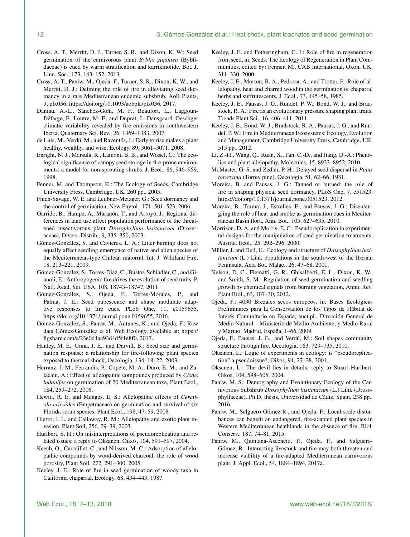- Cross, A. T., Merritt, D. J., Turner, S. R., and Dixon, K. W.: Seed germination of the carnivorous plant *Byblis gigantea* (Byblidaceae) is cued by warm stratification and karrikinolide, Bot. J. Linn. Soc., 173, 143–152, 2013.
- Cross, A. T., Paniw, M., Ojeda, F., Turner, S. R., Dixon, K. W., and Merritt, D. J.: Defining the role of fire in alleviating seed dormancy in a rare Mediterranean endemic subshrub, AoB Plants, 9, plx036, https://doi.org[/10.1093/aobpla/plx036,](https://doi.org/10.1093/aobpla/plx036) 2017.
- Daniau, A.-L., Sánchez-Goñi, M. F., Beaufort, L., Laggoun-Défarge, F., Loutre, M.-F., and Duprat, J.: Dansgaard–Oeschger climatic variability revealed by fire emissions in southwestern Iberia, Quaternary Sci. Rev., 26, 1369–1383, 2007.
- de Luis, M., Verdú, M., and Raventós, J.: Early to rise makes a plant healthy, wealthy, and wise, Ecology, 89, 3061–3071, 2008.
- Enright, N. J., Marsula, R., Lamont, B. B., and Wissel, C.: The ecological significance of canopy seed storage in fire-prone environments: a model for non-sprouting shrubs, J. Ecol., 86, 946–959, 1998.
- Fenner, M. and Thompson, K.: The Ecology of Seeds, Cambridge University Press, Cambridge, UK, 260 pp., 2005.
- Finch-Savage, W. E. and Leubner-Metzger, G.: Seed dormancy and the control of germination, New Phytol., 171, 501–523, 2006.
- Garrido, B., Hampe, A., Marañón, T., and Arroyo, J.: Regional differences in land use affect population performance of the threatened insectivorous plant *Drosophyllum lusitanicum* (Droseraceae), Divers. Distrib., 9, 335–350, 2003.
- Gómez-González, S. and Cavieres, L. A.: Litter burning does not equally affect seedling emergence of native and alien species of the Mediterranean-type Chilean matorral, Int. J. Wildland Fire, 18, 213–221, 2009.
- Gómez-González, S., Torres-Díaz, C., Bustos-Schindler, C., and Gianoli, E.: Anthropogenic fire drives the evolution of seed traits, P. Natl. Acad. Sci. USA, 108, 18743–18747, 2011.
- Gómez-González, S., Ojeda, F., Torres-Morales, P., and Palma, J. E.: Seed pubescence and shape modulate adaptive responses to fire cues, PLoS One, 11, e0159655, https://doi.org[/10.1371/journal.pone.0159655,](https://doi.org/10.1371/journal.pone.0159655) 2016.
- Gómez-González, S., Paniw, M., Antunes, K., and Ojeda, F.: Raw data Gómez-González et al. Web Ecology, available at: [https://](https://figshare.com/s/23e0d4aa93d4d5f1e8f0) [figshare.com/s/23e0d4aa93d4d5f1e8f0,](https://figshare.com/s/23e0d4aa93d4d5f1e8f0) 2017.
- Hanley, M. E., Unna, J. E., and Darvill, B.: Seed size and germination response: a relationship for fire-following plant species exposed to thermal shock, Oecologia, 134, 18–22, 2003.
- Herranz, J. M., Ferrandis, P., Copete, M. A., Duro, E. M., and Zalacain, A.: Effect of allelopathic compounds produced by *Cistus ladanifer* on germination of 20 Mediterranean taxa, Plant Ecol., 184, 259–272, 2006.
- Hewitt, R. E. and Menges, E. S.: Allelopathic effects of *Ceratiola ericoides* (Empetraceae) on germination and survival of six Florida scrub species, Plant Ecol., 198, 47–59, 2008.
- Hierro, J. L. and Callaway, R. M.: Allelopathy and exotic plant invasion, Plant Soil, 256, 29–39, 2003.
- Hurlbert, S. H.: On misinterpretations of pseudoreplication and related issues: a reply to Oksanen, Oikos, 104, 591–597, 2004.
- Keech, O., Carcaillet, C., and Nilsson, M.-C.: Adsorption of allelopathic compounds by wood-derived charcoal: the role of wood porosity, Plant Soil, 272, 291–300, 2005.
- Keeley, J. E.: Role of fire in seed germination of woody taxa in California chaparral, Ecology, 68, 434–443, 1987.
- Keeley, J. E. and Fotheringham, C. J.: Role of fire in regeneration from seed, in: Seeds: The Ecology of Regeneration in Plant Communities, edited by: Fenner, M., CAB International, Oxon, UK, 311–330, 2000.
- Keeley, J. E., Morton, B. A., Pedrosa, A., and Trotter, P.: Role of allelopathy, heat and charred wood in the germination of chaparral herbs and suffrutescents, J. Ecol., 73, 445–58, 1985.
- Keeley, J. E., Pausas, J. G., Rundel, P. W., Bond, W. J., and Bradstock, R. A.: Fire as an evolutionary pressure shaping plant traits, Trends Plant Sci., 16, 406–411, 2011.
- Keeley, J. E., Bond, W. J., Bradstock, R. A., Pausas, J. G., and Rundel, P. W.: Fire in Mediterranean Ecosystems: Ecology, Evolution and Management, Cambridge University Press, Cambridge, UK, 515 pp., 2012.
- Li, Z.-H., Wang, Q., Ruan, X., Pan, C.-D., and Jiang, D.-A.: Phenolics and plant allelopathy, Molecules, 15, 8933–8952, 2010.
- McMaster, G. S. and Zedler, P. H.: Delayed seed dispersal in *Pinus torreyana* (Torrey pine), Oecologia, 51, 62–66, 1981.
- Moreira, B. and Pausas, J. G.: Tanned or burned: the role of fire in shaping physical seed dormancy, PLoS One, 7, e51523, https://doi.org[/10.1371/journal.pone.0051523,](https://doi.org/10.1371/journal.pone.0051523) 2012.
- Moreira, B., Tormo, J., Estrelles, E., and Pausas, J. G.: Disentangling the role of heat and smoke as germination cues in Mediterranean Basin flora, Ann. Bot., 105, 627–635, 2010.
- Morrison, D. A. and Morris, E. C.: Pseudoreplication in experimental designs for the manipulation of seed germination treatments, Austral. Ecol., 25, 292–296, 2000.
- Müller, J. and Deil, U.: Ecology and structure of *Drosophyllum lusitanicum* (L.) Link populations in the south-west of the Iberian Peninsula, Acta Bot. Malac., 26, 47–68, 2001.
- Nelson, D. C., Flematti, G. R., Ghisalberti, E. L., Dixon, K. W., and Smith, S. M.: Regulation of seed germination and seedling growth by chemical signals from burning vegetation, Annu. Rev. Plant Biol., 63, 107–30, 2012.
- Ojeda, F.: 4030 Brezales secos europeos, in: Bases Ecológicas Preliminares para la Conservación de los Tipos de Hábitat de Interés Comunitario en España, auct.pl., Dirección General de Medio Natural – Ministerio de Medio Ambiente, y Medio Rural y Marino, Madrid, España, 1–66, 2009.
- Ojeda, F., Pausas, J. G., and Verdú, M.: Soil shapes community structure through fire, Oecologia, 163, 729–735, 2010.
- Oksanen, L.: Logic of experiments in ecology: is "pseudoreplication" a pseudoissue?, Oikos, 94, 27–28, 2001.
- Oksanen, L.: The devil lies in details: reply to Stuart Hurlbert, Oikos, 104, 598–605, 2004.
- Paniw, M. S.: Demography and Evolutionary Ecology of the Carnivorous Subshrub *Drosophyllum lusitanicum* (L.) Link (Drosophyllaceae). Ph.D. thesis, Universidad de Cádiz, Spain, 238 pp., 2016.
- Paniw, M., Salguero-Gómez R., and Ojeda, F.: Local-scale disturbances can benefit an endangered, fire-adapted plant species in Western Mediterranean heathlands in the absence of fire, Biol. Conserv., 187, 74–81, 2015.
- Paniw, M., Quintana-Ascencio, P., Ojeda, F., and Salguero-Gómez, R.: Interacting livestock and fire may both threaten and increase viability of a fire-adapted Mediterranean carnivorous plant. J. Appl. Ecol., 54, 1884–1894, 2017a.